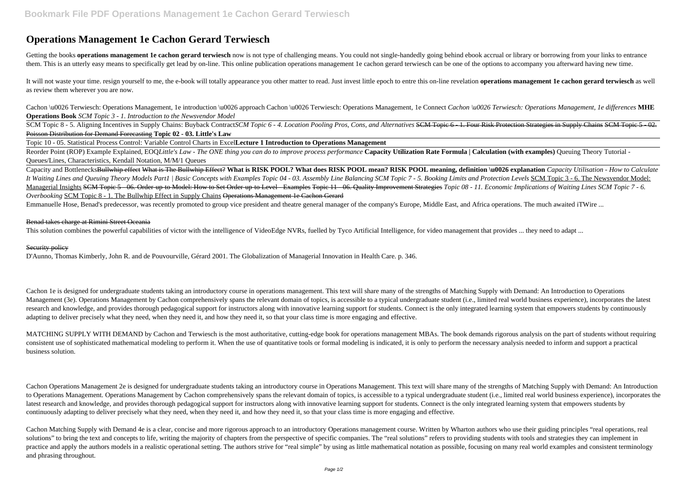# **Operations Management 1e Cachon Gerard Terwiesch**

Getting the books **operations management 1e cachon gerard terwiesch** now is not type of challenging means. You could not single-handedly going behind ebook accrual or library or borrowing from your links to entrance them. This is an utterly easy means to specifically get lead by on-line. This online publication operations management 1e cachon gerard terwiesch can be one of the options to accompany you afterward having new time.

It will not waste your time. resign yourself to me, the e-book will totally appearance you other matter to read. Just invest little epoch to entre this on-line revelation operations management 1e cachon gerard terwiesch as as review them wherever you are now.

Cachon \u0026 Terwiesch: Operations Management, 1e introduction \u0026 approach Cachon \u0026 Terwiesch: Operations Management, 1e Connect *Cachon \u0026 Terwiesch: Operations Management, 1e differences* MHE **Operations Book** *SCM Topic 3 - 1. Introduction to the Newsvendor Model*

SCM Topic 8 - 5. Aligning Incentives in Supply Chains: Buyback ContractSCM Topic 6 - 4. Location Pooling Pros, Cons, and Alternatives SCM Topic 6 - 1. Four Risk Protection Strategies in Supply Chains SCM Topic 5 - 02. Poisson Distribution for Demand Forecasting **Topic 02 - 03. Little's Law**

Capacity and BottlenecksBullwhip effect What is The Bullwhip Effect? **What is RISK POOL? What does RISK POOL mean? RISK POOL meaning, definition \u0026 explanation** *Capacity Utilisation - How to Calculate* It Waiting Lines and Queuing Theory Models Part1 | Basic Concepts with Examples Topic 04 - 03. Assembly Line Balancing SCM Topic 7 - 5. Booking Limits and Protection Levels SCM Topic 3 - 6. The Newsvendor Model: Managerial Insights SCM Topic 5 - 06. Order-up-to Model: How to Set Order-up-to Level - Examples Topic 11 - 06. Quality Improvement Strategies Topic 08 - 11. Economic Implications of Waiting Lines SCM Topic 7 - 6. *Overbooking* SCM Topic 8 - 1. The Bullwhip Effect in Supply Chains Operations Management 1e Cachon Gerard

Topic 10 - 05. Statistical Process Control: Variable Control Charts in Excel**Lecture 1 Introduction to Operations Management**

Reorder Point (ROP) Example Explained, EOQ*Little's Law - The ONE thing you can do to improve process performance* **Capacity Utilization Rate Formula | Calculation (with examples)** Queuing Theory Tutorial - Queues/Lines, Characteristics, Kendall Notation, M/M/1 Queues

Emmanuelle Hose, Benad's predecessor, was recently promoted to group vice president and theatre general manager of the company's Europe, Middle East, and Africa operations. The much awaited iTWire ...

#### Benad takes charge at Rimini Street Oceania

This solution combines the powerful capabilities of victor with the intelligence of VideoEdge NVRs, fuelled by Tyco Artificial Intelligence, for video management that provides ... they need to adapt ...

### Security policy

D'Aunno, Thomas Kimberly, John R. and de Pouvourville, Gérard 2001. The Globalization of Managerial Innovation in Health Care. p. 346.

Cachon 1e is designed for undergraduate students taking an introductory course in operations management. This text will share many of the strengths of Matching Supply with Demand: An Introduction to Operations Management (3e). Operations Management by Cachon comprehensively spans the relevant domain of topics, is accessible to a typical undergraduate student (i.e., limited real world business experience), incorporates the latest research and knowledge, and provides thorough pedagogical support for instructors along with innovative learning support for students. Connect is the only integrated learning system that empowers students by continuously adapting to deliver precisely what they need, when they need it, and how they need it, so that your class time is more engaging and effective.

MATCHING SUPPLY WITH DEMAND by Cachon and Terwiesch is the most authoritative, cutting-edge book for operations management MBAs. The book demands rigorous analysis on the part of students without requiring consistent use of sophisticated mathematical modeling to perform it. When the use of quantitative tools or formal modeling is indicated, it is only to perform the necessary analysis needed to inform and support a practical business solution.

Cachon Operations Management 2e is designed for undergraduate students taking an introductory course in Operations Management. This text will share many of the strengths of Matching Supply with Demand: An Introduction to Operations Management. Operations Management by Cachon comprehensively spans the relevant domain of topics, is accessible to a typical undergraduate student (i.e., limited real world business experience), incorporates the latest research and knowledge, and provides thorough pedagogical support for instructors along with innovative learning support for students. Connect is the only integrated learning system that empowers students by continuously adapting to deliver precisely what they need, when they need it, and how they need it, so that your class time is more engaging and effective.

Cachon Matching Supply with Demand 4e is a clear, concise and more rigorous approach to an introductory Operations management course. Written by Wharton authors who use their guiding principles "real operations, real solutions" to bring the text and concepts to life, writing the majority of chapters from the perspective of specific companies. The "real solutions" refers to providing students with tools and strategies they can implement practice and apply the authors models in a realistic operational setting. The authors strive for "real simple" by using as little mathematical notation as possible, focusing on many real world examples and consistent termi and phrasing throughout.